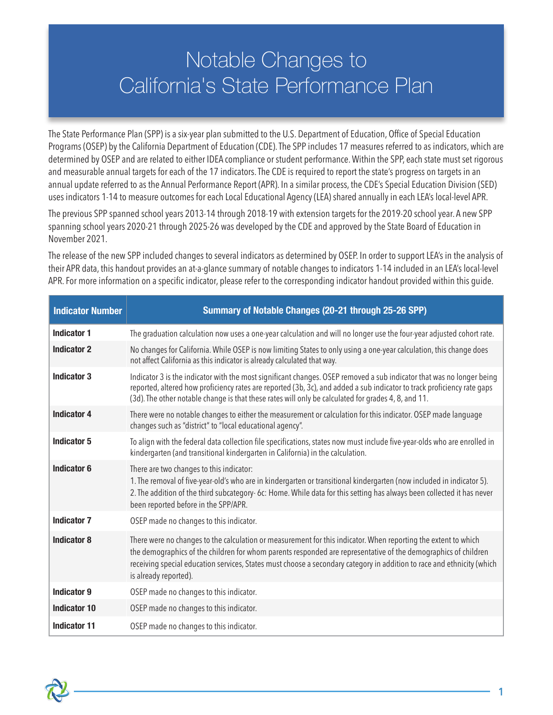## Notable Changes to California's State Performance Plan

The State Performance Plan (SPP) is a six-year plan submitted to the U.S. Department of Education, Office of Special Education Programs (OSEP) by the California Department of Education (CDE). The SPP includes 17 measures referred to as indicators, which are determined by OSEP and are related to either IDEA compliance or student performance. Within the SPP, each state must set rigorous and measurable annual targets for each of the 17 indicators. The CDE is required to report the state's progress on targets in an annual update referred to as the Annual Performance Report (APR). In a similar process, the CDE's Special Education Division (SED) uses indicators 1-14 to measure outcomes for each Local Educational Agency (LEA) shared annually in each LEA's local-level APR.

The previous SPP spanned school years 2013-14 through 2018-19 with extension targets for the 2019-20 school year. A new SPP spanning school years 2020-21 through 2025-26 was developed by the CDE and approved by the State Board of Education in November 2021.

The release of the new SPP included changes to several indicators as determined by OSEP. In order to support LEA's in the analysis of their APR data, this handout provides an at-a-glance summary of notable changes to indicators 1-14 included in an LEA's local-level APR. For more information on a specific indicator, please refer to the corresponding indicator handout provided within this guide.

| <b>Indicator Number</b> | Summary of Notable Changes (20-21 through 25-26 SPP)                                                                                                                                                                                                                                                                                                                                |
|-------------------------|-------------------------------------------------------------------------------------------------------------------------------------------------------------------------------------------------------------------------------------------------------------------------------------------------------------------------------------------------------------------------------------|
| <b>Indicator 1</b>      | The graduation calculation now uses a one-year calculation and will no longer use the four-year adjusted cohort rate.                                                                                                                                                                                                                                                               |
| <b>Indicator 2</b>      | No changes for California. While OSEP is now limiting States to only using a one-year calculation, this change does<br>not affect California as this indicator is already calculated that way.                                                                                                                                                                                      |
| <b>Indicator 3</b>      | Indicator 3 is the indicator with the most significant changes. OSEP removed a sub indicator that was no longer being<br>reported, altered how proficiency rates are reported (3b, 3c), and added a sub indicator to track proficiency rate gaps<br>(3d). The other notable change is that these rates will only be calculated for grades 4, 8, and 11.                             |
| <b>Indicator 4</b>      | There were no notable changes to either the measurement or calculation for this indicator. OSEP made language<br>changes such as "district" to "local educational agency".                                                                                                                                                                                                          |
| Indicator 5             | To align with the federal data collection file specifications, states now must include five-year-olds who are enrolled in<br>kindergarten (and transitional kindergarten in California) in the calculation.                                                                                                                                                                         |
| <b>Indicator 6</b>      | There are two changes to this indicator:<br>1. The removal of five-year-old's who are in kindergarten or transitional kindergarten (now included in indicator 5).<br>2. The addition of the third subcategory- 6c: Home. While data for this setting has always been collected it has never<br>been reported before in the SPP/APR.                                                 |
| <b>Indicator 7</b>      | OSEP made no changes to this indicator.                                                                                                                                                                                                                                                                                                                                             |
| <b>Indicator 8</b>      | There were no changes to the calculation or measurement for this indicator. When reporting the extent to which<br>the demographics of the children for whom parents responded are representative of the demographics of children<br>receiving special education services, States must choose a secondary category in addition to race and ethnicity (which<br>is already reported). |
| <b>Indicator 9</b>      | OSEP made no changes to this indicator.                                                                                                                                                                                                                                                                                                                                             |
| <b>Indicator 10</b>     | OSEP made no changes to this indicator.                                                                                                                                                                                                                                                                                                                                             |
| <b>Indicator 11</b>     | OSEP made no changes to this indicator.                                                                                                                                                                                                                                                                                                                                             |